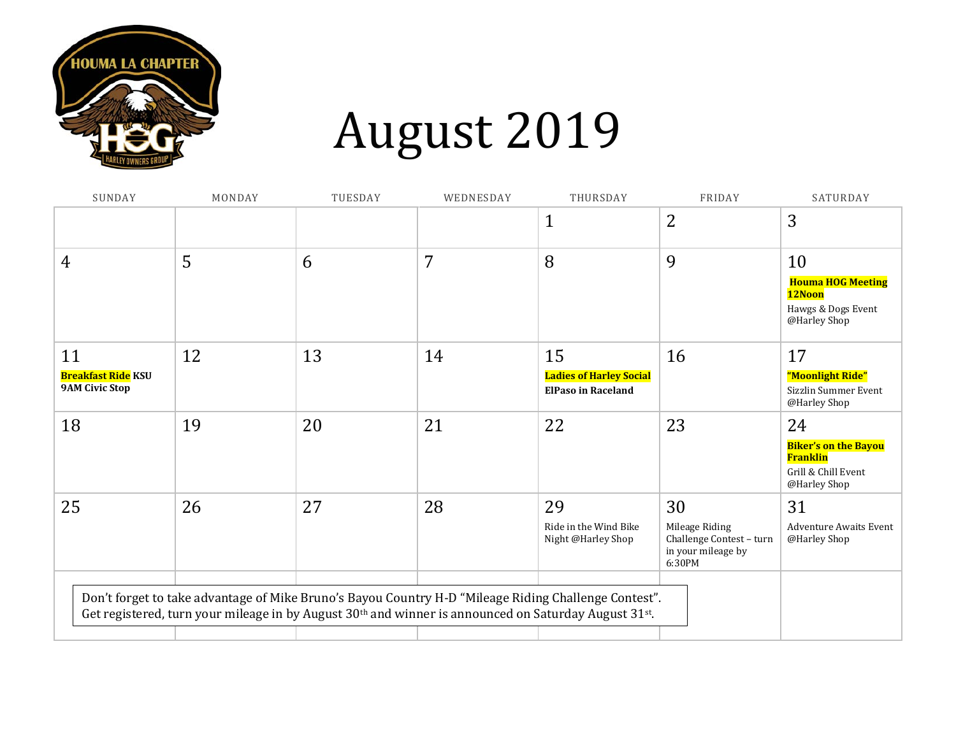

# August 2019

| SUNDAY                                                   | MONDAY | TUESDAY | WEDNESDAY | THURSDAY                                                                                                                                                                                                                              | FRIDAY                                                                           | SATURDAY                                                                                    |
|----------------------------------------------------------|--------|---------|-----------|---------------------------------------------------------------------------------------------------------------------------------------------------------------------------------------------------------------------------------------|----------------------------------------------------------------------------------|---------------------------------------------------------------------------------------------|
|                                                          |        |         |           | $\mathbf{1}$                                                                                                                                                                                                                          | $\overline{2}$                                                                   | 3                                                                                           |
| 4                                                        | 5      | 6       | 7         | 8                                                                                                                                                                                                                                     | 9                                                                                | 10<br><b>Houma HOG Meeting</b><br>12Noon<br>Hawgs & Dogs Event<br>@Harley Shop              |
| 11<br><b>Breakfast Ride KSU</b><br><b>9AM Civic Stop</b> | 12     | 13      | 14        | 15<br><b>Ladies of Harley Social</b><br><b>ElPaso in Raceland</b>                                                                                                                                                                     | 16                                                                               | 17<br>"Moonlight Ride"<br>Sizzlin Summer Event<br>@Harley Shop                              |
| 18                                                       | 19     | 20      | 21        | 22                                                                                                                                                                                                                                    | 23                                                                               | 24<br><b>Biker's on the Bayou</b><br><b>Franklin</b><br>Grill & Chill Event<br>@Harley Shop |
| 25                                                       | 26     | 27      | 28        | 29<br>Ride in the Wind Bike<br>Night @Harley Shop                                                                                                                                                                                     | 30<br>Mileage Riding<br>Challenge Contest - turn<br>in your mileage by<br>6:30PM | 31<br><b>Adventure Awaits Event</b><br>@Harley Shop                                         |
|                                                          |        |         |           | Don't forget to take advantage of Mike Bruno's Bayou Country H-D "Mileage Riding Challenge Contest".<br>Get registered, turn your mileage in by August 30 <sup>th</sup> and winner is announced on Saturday August 31 <sup>st</sup> . |                                                                                  |                                                                                             |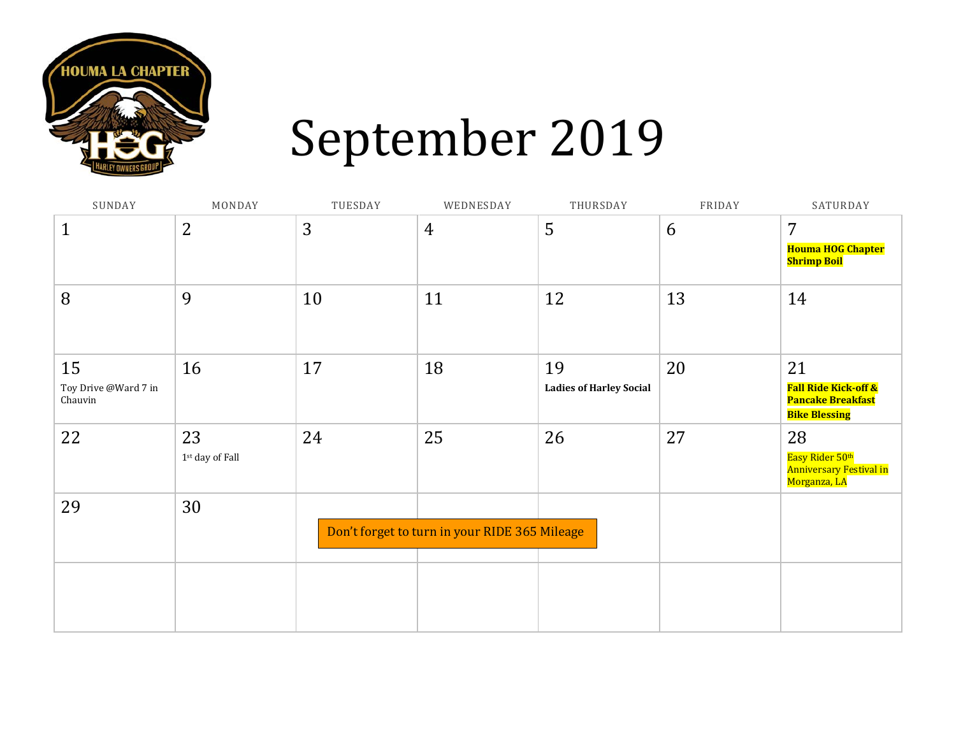

# September 2019

| SUNDAY                                | MONDAY                         | TUESDAY | WEDNESDAY                                     | THURSDAY                             | FRIDAY | SATURDAY                                                                           |
|---------------------------------------|--------------------------------|---------|-----------------------------------------------|--------------------------------------|--------|------------------------------------------------------------------------------------|
| $\mathbf 1$                           | $\overline{2}$                 | 3       | 4                                             | 5                                    | 6      | 7<br><b>Houma HOG Chapter</b><br><b>Shrimp Boil</b>                                |
| 8                                     | 9                              | 10      | 11                                            | 12                                   | 13     | 14                                                                                 |
| 15<br>Toy Drive @Ward 7 in<br>Chauvin | 16                             | 17      | 18                                            | 19<br><b>Ladies of Harley Social</b> | 20     | 21<br><b>Fall Ride Kick-off &amp;</b><br>Pancake Breakfast<br><b>Bike Blessing</b> |
| 22                                    | 23<br>$1^{\rm st}$ day of Fall | 24      | 25                                            | 26                                   | 27     | 28<br>Easy Rider 50th<br>Anniversary Festival in<br>Morganza, LA                   |
| 29                                    | 30                             |         | Don't forget to turn in your RIDE 365 Mileage |                                      |        |                                                                                    |
|                                       |                                |         |                                               |                                      |        |                                                                                    |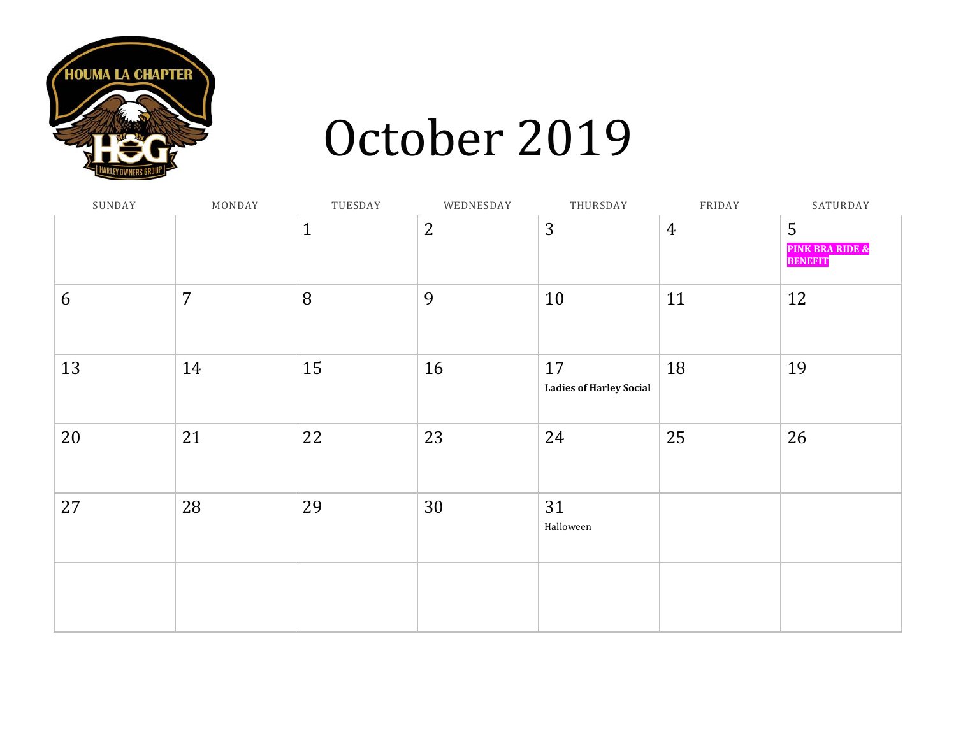

### October 2019

| SUNDAY | MONDAY         | TUESDAY      | WEDNESDAY      | THURSDAY                             | FRIDAY         | SATURDAY                                          |
|--------|----------------|--------------|----------------|--------------------------------------|----------------|---------------------------------------------------|
|        |                | $\mathbf{1}$ | $\overline{2}$ | 3                                    | $\overline{4}$ | 5<br><b>PINK BRA RIDE &amp;</b><br><b>BENEFIT</b> |
| 6      | $\overline{7}$ | 8            | 9              | 10                                   | 11             | 12                                                |
| 13     | 14             | 15           | 16             | 17<br><b>Ladies of Harley Social</b> | 18             | 19                                                |
| 20     | 21             | 22           | 23             | 24                                   | 25             | 26                                                |
| 27     | 28             | 29           | 30             | 31<br>Halloween                      |                |                                                   |
|        |                |              |                |                                      |                |                                                   |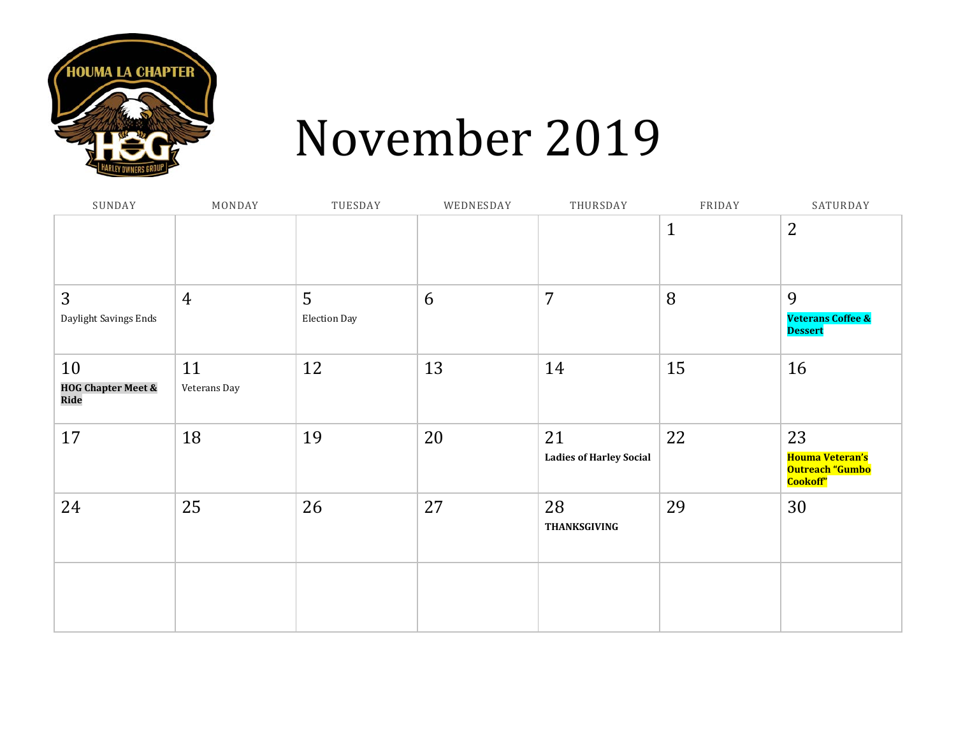

### November 2019

| SUNDAY                                      | MONDAY             | TUESDAY                  | WEDNESDAY | THURSDAY                             | FRIDAY       | SATURDAY                                                    |
|---------------------------------------------|--------------------|--------------------------|-----------|--------------------------------------|--------------|-------------------------------------------------------------|
|                                             |                    |                          |           |                                      | $\mathbf{1}$ | $\overline{2}$                                              |
| 3<br>Daylight Savings Ends                  | $\overline{4}$     | 5<br><b>Election Day</b> | 6         | 7                                    | 8            | 9<br><b>Veterans Coffee &amp;</b><br><b>Dessert</b>         |
| 10<br><b>HOG Chapter Meet &amp;</b><br>Ride | 11<br>Veterans Day | 12                       | 13        | 14                                   | 15           | 16                                                          |
| 17                                          | 18                 | 19                       | 20        | 21<br><b>Ladies of Harley Social</b> | 22           | 23<br><b>Houma Veteran's</b><br>Outreach "Gumbo<br>Cookoff" |
| 24                                          | 25                 | 26                       | 27        | 28<br>THANKSGIVING                   | 29           | 30                                                          |
|                                             |                    |                          |           |                                      |              |                                                             |